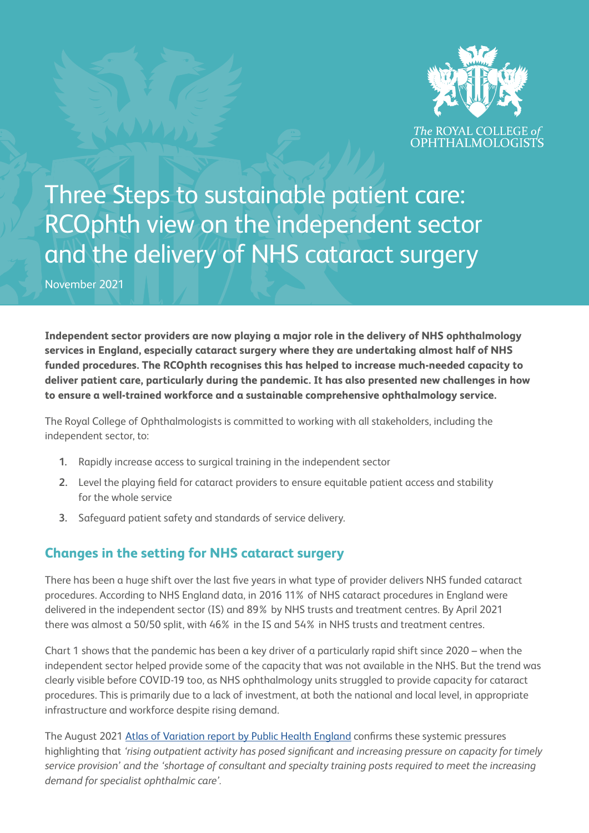

Three Steps to sustainable patient care: RCOphth view on the independent sector and the delivery of NHS cataract surgery

November 2021

**Independent sector providers are now playing a major role in the delivery of NHS ophthalmology services in England, especially cataract surgery where they are undertaking almost half of NHS funded procedures. The RCOphth recognises this has helped to increase much-needed capacity to deliver patient care, particularly during the pandemic. It has also presented new challenges in how to ensure a well-trained workforce and a sustainable comprehensive ophthalmology service.**

The Royal College of Ophthalmologists is committed to working with all stakeholders, including the independent sector, to:

- **1.** Rapidly increase access to surgical training in the independent sector
- **2.** Level the playing field for cataract providers to ensure equitable patient access and stability for the whole service
- **3.** Safeguard patient safety and standards of service delivery.

# **Changes in the setting for NHS cataract surgery**

There has been a huge shift over the last five years in what type of provider delivers NHS funded cataract procedures. According to NHS England data, in 2016 11% of NHS cataract procedures in England were delivered in the independent sector (IS) and 89% by NHS trusts and treatment centres. By April 2021 there was almost a 50/50 split, with 46% in the IS and 54% in NHS trusts and treatment centres.

Chart 1 shows that the pandemic has been a key driver of a particularly rapid shift since 2020 – when the independent sector helped provide some of the capacity that was not available in the NHS. But the trend was clearly visible before COVID-19 too, as NHS ophthalmology units struggled to provide capacity for cataract procedures. This is primarily due to a lack of investment, at both the national and local level, in appropriate infrastructure and workforce despite rising demand.

The August 2021 [Atlas of Variation report by Public Health England](https://fingertips.phe.org.uk/profile/atlas-of-variation) confirms these systemic pressures highlighting that *'rising outpatient activity has posed significant and increasing pressure on capacity for timely service provision' and the 'shortage of consultant and specialty training posts required to meet the increasing demand for specialist ophthalmic care'.*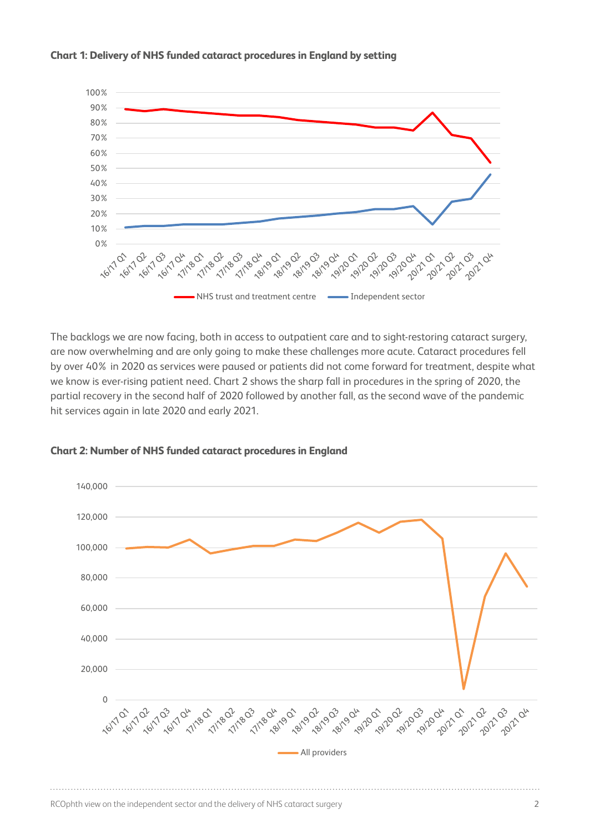

## **Chart 1: Delivery of NHS funded cataract procedures in England by setting**

The backlogs we are now facing, both in access to outpatient care and to sight-restoring cataract surgery, are now overwhelming and are only going to make these challenges more acute. Cataract procedures fell by over 40% in 2020 as services were paused or patients did not come forward for treatment, despite what we know is ever-rising patient need. Chart 2 shows the sharp fall in procedures in the spring of 2020, the partial recovery in the second half of 2020 followed by another fall, as the second wave of the pandemic hit services again in late 2020 and early 2021.



#### **Chart 2: Number of NHS funded cataract procedures in England**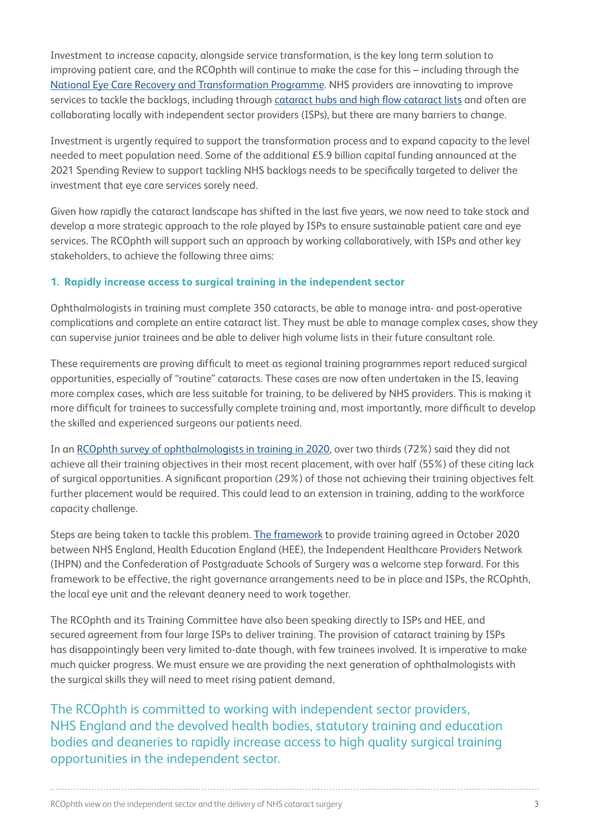Investment to increase capacity, alongside service transformation, is the key long term solution to improving patient care, and the RCOphth will continue to make the case for this – including through the [National Eye Care Recovery and Transformation Programme.](https://www.rcophth.ac.uk/2021/06/necrt-programme-president-message/) NHS providers are innovating to improve services to tackle the backlogs, including through [cataract hubs and high flow cataract lists](https://www.rcophth.ac.uk/wp-content/uploads/2021/03/Cataract-Hubs-and-High-Flow-Cataract-Lists.pdf) and often are collaborating locally with independent sector providers (ISPs), but there are many barriers to change.

Investment is urgently required to support the transformation process and to expand capacity to the level needed to meet population need. Some of the additional £5.9 billion capital funding announced at the 2021 Spending Review to support tackling NHS backlogs needs to be specifically targeted to deliver the investment that eye care services sorely need.

Given how rapidly the cataract landscape has shifted in the last five years, we now need to take stock and develop a more strategic approach to the role played by ISPs to ensure sustainable patient care and eye services. The RCOphth will support such an approach by working collaboratively, with ISPs and other key stakeholders, to achieve the following three aims:

#### **1. Rapidly increase access to surgical training in the independent sector**

Ophthalmologists in training must complete 350 cataracts, be able to manage intra- and post-operative complications and complete an entire cataract list. They must be able to manage complex cases, show they can supervise junior trainees and be able to deliver high volume lists in their future consultant role.

These requirements are proving difficult to meet as regional training programmes report reduced surgical opportunities, especially of "routine" cataracts. These cases are now often undertaken in the IS, leaving more complex cases, which are less suitable for training, to be delivered by NHS providers. This is making it more difficult for trainees to successfully complete training and, most importantly, more difficult to develop the skilled and experienced surgeons our patients need.

In an [RCOphth survey of ophthalmologists in training in 2020](https://www.rcophth.ac.uk/wp-content/uploads/2020/11/Trainee-Survey-1-September-2020-summary-paper.pdf), over two thirds (72%) said they did not achieve all their training objectives in their most recent placement, with over half (55%) of these citing lack of surgical opportunities. A significant proportion (29%) of those not achieving their training objectives felt further placement would be required. This could lead to an extension in training, adding to the workforce capacity challenge.

Steps are being taken to tackle this problem. [The framework](https://www.hee.nhs.uk/sites/default/files/documents/Guidance%20for%20placement%20of%20doctors%20in%20training%20in%20the%20independent%20sector.pdf) to provide training agreed in October 2020 between NHS England, Health Education England (HEE), the Independent Healthcare Providers Network (IHPN) and the Confederation of Postgraduate Schools of Surgery was a welcome step forward. For this framework to be effective, the right governance arrangements need to be in place and ISPs, the RCOphth, the local eye unit and the relevant deanery need to work together.

The RCOphth and its Training Committee have also been speaking directly to ISPs and HEE, and secured agreement from four large ISPs to deliver training. The provision of cataract training by ISPs has disappointingly been very limited to-date though, with few trainees involved. It is imperative to make much quicker progress. We must ensure we are providing the next generation of ophthalmologists with the surgical skills they will need to meet rising patient demand.

The RCOphth is committed to working with independent sector providers, NHS England and the devolved health bodies, statutory training and education bodies and deaneries to rapidly increase access to high quality surgical training opportunities in the independent sector.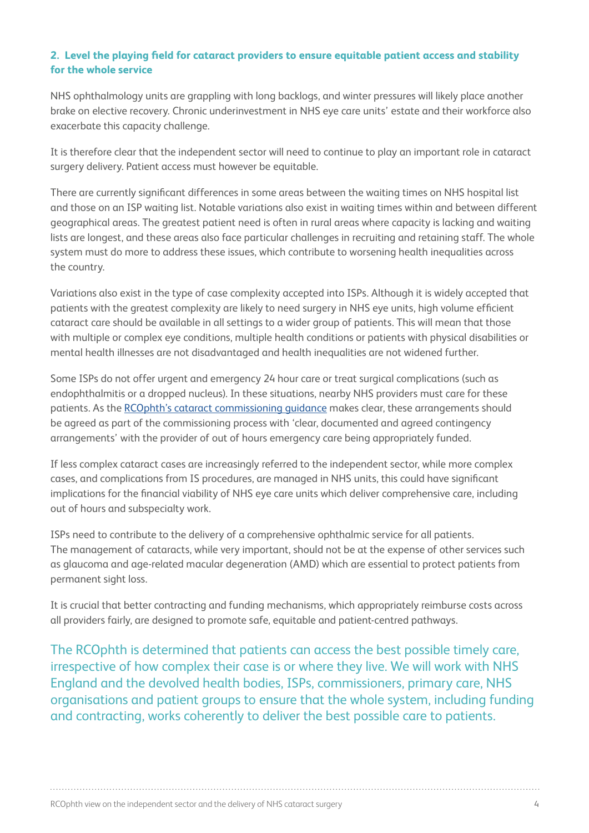### **2. Level the playing field for cataract providers to ensure equitable patient access and stability for the whole service**

NHS ophthalmology units are grappling with long backlogs, and winter pressures will likely place another brake on elective recovery. Chronic underinvestment in NHS eye care units' estate and their workforce also exacerbate this capacity challenge.

It is therefore clear that the independent sector will need to continue to play an important role in cataract surgery delivery. Patient access must however be equitable.

There are currently significant differences in some areas between the waiting times on NHS hospital list and those on an ISP waiting list. Notable variations also exist in waiting times within and between different geographical areas. The greatest patient need is often in rural areas where capacity is lacking and waiting lists are longest, and these areas also face particular challenges in recruiting and retaining staff. The whole system must do more to address these issues, which contribute to worsening health inequalities across the country.

Variations also exist in the type of case complexity accepted into ISPs. Although it is widely accepted that patients with the greatest complexity are likely to need surgery in NHS eye units, high volume efficient cataract care should be available in all settings to a wider group of patients. This will mean that those with multiple or complex eye conditions, multiple health conditions or patients with physical disabilities or mental health illnesses are not disadvantaged and health inequalities are not widened further.

Some ISPs do not offer urgent and emergency 24 hour care or treat surgical complications (such as endophthalmitis or a dropped nucleus). In these situations, nearby NHS providers must care for these patients. As the [RCOphth's cataract commissioning guidance](https://www.rcophth.ac.uk/wp-content/uploads/2018/02/Cataract-Commissioning-Guide-January-2018.pdf) makes clear, these arrangements should be agreed as part of the commissioning process with 'clear, documented and agreed contingency arrangements' with the provider of out of hours emergency care being appropriately funded.

If less complex cataract cases are increasingly referred to the independent sector, while more complex cases, and complications from IS procedures, are managed in NHS units, this could have significant implications for the financial viability of NHS eye care units which deliver comprehensive care, including out of hours and subspecialty work.

ISPs need to contribute to the delivery of a comprehensive ophthalmic service for all patients. The management of cataracts, while very important, should not be at the expense of other services such as glaucoma and age-related macular degeneration (AMD) which are essential to protect patients from permanent sight loss.

It is crucial that better contracting and funding mechanisms, which appropriately reimburse costs across all providers fairly, are designed to promote safe, equitable and patient-centred pathways.

The RCOphth is determined that patients can access the best possible timely care, irrespective of how complex their case is or where they live. We will work with NHS England and the devolved health bodies, ISPs, commissioners, primary care, NHS organisations and patient groups to ensure that the whole system, including funding and contracting, works coherently to deliver the best possible care to patients.